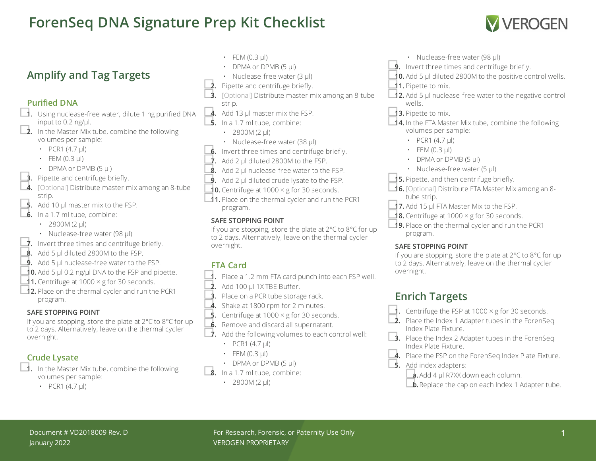# **ForenSeq DNA Signature Prep Kit Checklist**



### **Amplify and Tag Targets**

#### **Purified DNA**

- □**1.** Using nuclease-free water, dilute <sup>1</sup> ng purified DNA input to 0.2 ng/ $\mu$ l.<br> **2.** In the Master Mix tube, combine the following
	- volumes per sample:
		- PCR1  $(4.7 \text{ µ})$
		- $\cdot$  FEM (0.3 µl)
		-
	-
- DPMA or DPMB (5 µl)<br> **3.** Pipette and centrifuge briefly.<br> **4.** [Optional] Distribute master mix among an 8-tube strip.<br>**5.** Add 10 µl master mix to the FSP.
	-
- **6.** In a 1.7 ml tube, combine:
	- 2800M (2  $\mu$ l)
	-
- Nuclease-free water (98 µl)<br>■**7.** Invert three times and centrifuge briefly.<br>■**8.** Add 5 µl diluted 2800M to the FSP.
- 
- **9.** Add 5 µl nuclease-free water to the FSP.
- **■10.** Add 5 µl 0.2 ng/µl DNA to the FSP and pipette.<br>■1. Centrifuge at 1000 × g for 30 seconds.
- 
- **□ 12.** Place on the thermal cycler and run the PCR1 program.

#### **SAFE STOPPING POINT**

If you are stopping, store the plate at 2°C to 8°C for up to 2 days. Alternatively, leave on the thermal cycler overnight.

- **Crude Lysate**<br>■ 1. In the Master Mix tube, combine the following volumes per sample:
	- PCR1  $(4.7 \text{ µ})$
- $\cdot$  FEM (0.3 µl)
- DPMA or DPMB (5 µl)
- 
- 
- Nuclease-free water (3 µl)<br> **2.** Pipette and centrifuge briefly.<br> **3.** [Optional] Distribute master mix among an 8-tube strip.<br>**4.** Add 13 µl master mix the FSP.
- 
- **5.** In a 1.7 ml tube, combine:
	- 2800M (2  $\mu$ l)
	-
- Nuclease-free water (38 µl)<br> **6.** Invert three times and centrifuge briefly.<br> **7.** Add 2 µl diluted 2800M to the FSP.
- 
- 8. Add 2 µl nuclease-free water to the FSP.
- **9.** Add 2 µl diluted crude lysate to the FSP.
- **10.** Centrifuge at 1000  $\times$  g for 30 seconds.
- □**11.** Place on the thermal cycler and run the PCR1 program.

#### **SAFE STOPPING POINT**

If you are stopping, store the plate at 2°C to 8°C for up to 2 days. Alternatively, leave on the thermal cycler overnight.

### **FTA Card**

- □**1.** Place <sup>a</sup> 1.2 mm FTA card punch into each FSP well.
- □**2.** Add <sup>100</sup> µl 1X TBE Buffer.
- **3.** Place on a PCR tube storage rack.
- 4. Shake at 1800 rpm for 2 minutes.
- **5.** Centrifuge at  $1000 \times g$  for 30 seconds.
- 
- **6.** Remove and discard all supernatant.<br>■ **7.** Add the following volumes to each control well:
	- PCR1  $(4.7 \text{ µ})$
	- $\cdot$  FEM (0.3 µl)
- DPMA or DPMB (5  $\mu$ l)<br> **8.** In a 1.7 ml tube, combine:
	- - 2800M (2  $\mu$ l)
- 
- Nuclease-free water (98 µl)<br> **9.** Invert three times and centrifuge briefly.<br> **10.** Add 5 µl diluted 2800M to the positive control wells.
- 
- □**11.** Pipette to mix.
- □**12.** Add <sup>5</sup> µl nuclease-free water to the negative control wells.
- □**13.** Pipette to mix.
- □**14.** In the FTA Master Mix tube, combine the following volumes per sample:
	- PCR1  $(4.7 \text{ µ})$
	- $\cdot$  FEM (0.3 µl)
	- DPMA or DPMB (5 µl)
	- Nuclease-free water (5 µl)
- 
- ■**15.** Pipette, and then centrifuge briefly.<br>■**16.** [Optional] Distribute FTA Master Mix among an 8-
- tube strip.<br>■**17.** Add 15 µl FTA Master Mix to the FSP.
- **18.** Centrifuge at  $1000 \times g$  for 30 seconds.
- □**19.** Place on the thermal cycler and run the PCR1 program.

#### **SAFE STOPPING POINT**

If you are stopping, store the plate at 2°C to 8°C for up to 2 days. Alternatively, leave on the thermal cycler overnight.

## **Enrich Targets**

- Centrifuge the FSP at  $1000 \times g$  for 30 seconds.
- **2.** Place the Index 1 Adapter tubes in the ForenSeq Index Plate Fixture.
- **■3.** Place the Index 2 Adapter tubes in the ForenSeq Index Plate Fixture.
- 4. Place the FSP on the ForenSeg Index Plate Fixture.
- 
- □**5.** Add index adapters: □**a.**Add <sup>4</sup> µl R7XX down each column.
	- $\Box$ **b.** Replace the cap on each Index 1 Adapter tube.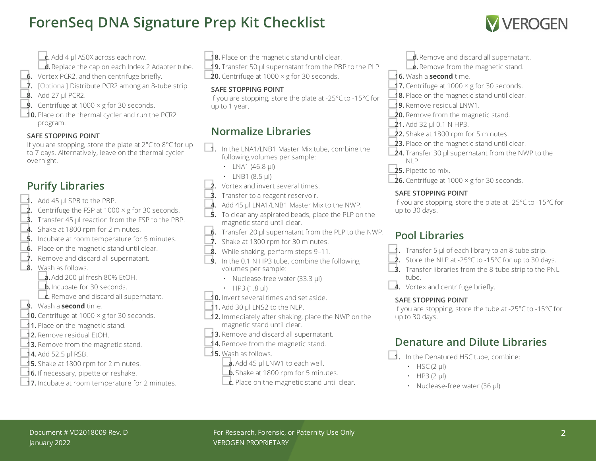# **ForenSeq DNA Signature Prep Kit Checklist**



- $\Box$ **c.** Add 4 µl A50X across each row.
- **d.** Replace the cap on each Index 2 Adapter tube.
- 
- ■**6.** Vortex PCR2, and then centrifuge briefly.<br>■ [Optional] Distribute PCR2 among an 8-tube strip.<br>■ **8.** Add 27 µl PCR2. ■<br>■ Centrifuge at 1000 × g for 30 seconds.
- 
- □**10.** Place on the thermal cycler and run the PCR2 program.

#### **SAFE STOPPING POINT**

If you are stopping, store the plate at 2°C to 8°C for up to 7 days. Alternatively, leave on the thermal cycler overnight.

### **Purify Libraries**

- □**1.** Add <sup>45</sup> µl SPB to the PBP.
- **2.** Centrifuge the FSP at 1000  $\times$  g for 30 seconds.
- □**3.** Transfer <sup>45</sup> µl reaction from the FSP to the PBP.
- 4. Shake at 1800 rpm for 2 minutes.
- **5.** Incubate at room temperature for 5 minutes.
- **6.** Place on the magnetic stand until clear.
- □**7.** Remove and discard all supernatant. □**8.** Wash as follows.
- - □**a.**Add <sup>200</sup> µl fresh 80% EtOH.
	- **b.** Incubate for 30 seconds.
- □**c.** Remove and discard all supernatant. □**9.** Wash <sup>a</sup> **second** time.
- 
- **10.** Centrifuge at 1000  $\times$  g for 30 seconds.
- **11.** Place on the magnetic stand.
- □**12.** Remove residual EtOH.
- 13. Remove from the magnetic stand.
- 
- **14.** Add 52.5 µl RSB.<br>**15.** Shake at 1800 rpm for 2 minutes.
- □**16.** If necessary, pipette or reshake.
- **□17.** Incubate at room temperature for 2 minutes.
- □**18.** Place on the magnetic stand until clear. □**19.** Transfer <sup>50</sup> µl supernatant from the PBP to the PLP.
- $\overline{20}$ . Centrifuge at 1000  $\times$  g for 30 seconds.

#### **SAFE STOPPING POINT**

If you are stopping, store the plate at -25°C to -15°C for up to 1 year.

### **Normalize Libraries**

- □**1.** In the LNA1/LNB1 Master Mix tube, combine the following volumes per sample:
	- LNA1 (46.8  $\mu$ I)
	-
- LNB1 (8.5  $\mu$ )<br>**2.** Vortex and invert several times.
- **3.** Transfer to a reagent reservoir.
- 4. Add 45 µl LNA1/LNB1 Master Mix to the NWP.
- **5.** To clear any aspirated beads, place the PLP on the magnetic stand until clear.
- □**6.** Transfer <sup>20</sup> µl supernatant from the PLP to the NWP.
- $\overrightarrow{1}$ . Shake at 1800 rpm for 30 minutes.
- <span id="page-1-0"></span>
- ■<br>■ [9](#page-1-0). While shaking, perform steps 9–[11](#page-1-1).<br>■ In the 0.1 N HP3 tube, combine the following volumes per sample:
	- Nuclease-free water (33.3 µl)
	-
- HP3 (1.8  $\mu$ )<br>**10.** Invert several times and set aside.
- <span id="page-1-1"></span> $\triangle$ **1.** Add 30 µl LNS2 to the NLP.
- □**12.** Immediately after shaking, place the NWP on the magnetic stand until clear.
- **13.** Remove and discard all supernatant.<br>**14.** Remove from the magnetic stand.
- 
- □**15.** Wash as follows.
	- **a.** Add 45 µl LNW1 to each well.
	- **b.** Shake at 1800 rpm for 5 minutes.
	- **c.** Place on the magnetic stand until clear.

□ **d.** Remove and discard all supernatant.<br>□ **e.** Remove from the magnetic stand.

#### □**16.** Wash <sup>a</sup> **second** time.

- **17.** Centrifuge at 1000  $\times$  g for 30 seconds.
- 18. Place on the magnetic stand until clear.
- 
- **19.** Remove residual LNW1.<br>**20.** Remove from the magnetic stand.
- 
- **21.** Add 32 µl 0.1 N HP3.<br>**22.** Shake at 1800 rpm for 5 minutes.
- **23.** Place on the magnetic stand until clear.
- **24.** Transfer 30 µl supernatant from the NWP to the NLP.
- □**25.** Pipette to mix.
- **26.** Centrifuge at 1000  $\times$  g for 30 seconds.

#### **SAFE STOPPING POINT**

If you are stopping, store the plate at -25°C to -15°C for up to 30 days.

### **Pool Libraries**

- 
- □**1.** Transfer <sup>5</sup> µl of each library to an 8-tube strip. □**2.** Store the NLP at -25°C to -15°C for up to <sup>30</sup> days. □**3.** Transfer libraries from the 8-tube strip to the PNL
- tube.
- 4. Vortex and centrifuge briefly.

#### **SAFE STOPPING POINT**

If you are stopping, store the tube at -25°C to -15°C for up to 30 days.

## **Denature and Dilute Libraries**

- □**1.** In the Denatured HSC tube, combine:
	- $\cdot$  HSC (2 µl)
	- $\cdot$  HP3 (2 µl)
	- Nuclease-free water (36 µl)